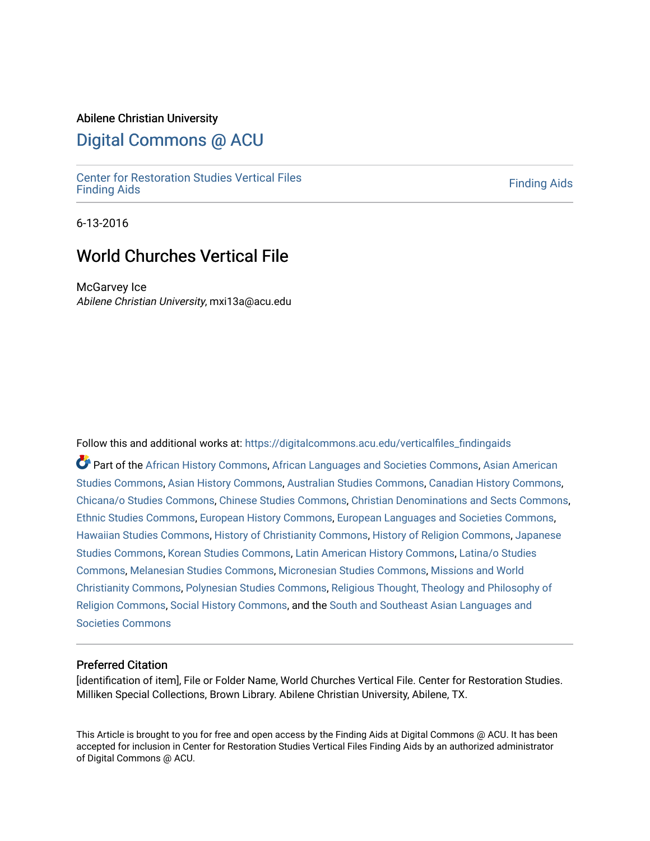#### Abilene Christian University

# [Digital Commons @ ACU](https://digitalcommons.acu.edu/)

[Center for Restoration Studies Vertical Files](https://digitalcommons.acu.edu/verticalfiles_findingaids) Center for Restoration Studies vertical rifes<br>[Finding Aids](https://digitalcommons.acu.edu/verticalfiles_findingaids) Finding Aids

6-13-2016

# World Churches Vertical File

McGarvey Ice Abilene Christian University, mxi13a@acu.edu

Follow this and additional works at: [https://digitalcommons.acu.edu/verticalfiles\\_findingaids](https://digitalcommons.acu.edu/verticalfiles_findingaids?utm_source=digitalcommons.acu.edu%2Fverticalfiles_findingaids%2F1&utm_medium=PDF&utm_campaign=PDFCoverPages) 

Part of the [African History Commons](http://network.bepress.com/hgg/discipline/490?utm_source=digitalcommons.acu.edu%2Fverticalfiles_findingaids%2F1&utm_medium=PDF&utm_campaign=PDFCoverPages), [African Languages and Societies Commons,](http://network.bepress.com/hgg/discipline/476?utm_source=digitalcommons.acu.edu%2Fverticalfiles_findingaids%2F1&utm_medium=PDF&utm_campaign=PDFCoverPages) [Asian American](http://network.bepress.com/hgg/discipline/568?utm_source=digitalcommons.acu.edu%2Fverticalfiles_findingaids%2F1&utm_medium=PDF&utm_campaign=PDFCoverPages) [Studies Commons,](http://network.bepress.com/hgg/discipline/568?utm_source=digitalcommons.acu.edu%2Fverticalfiles_findingaids%2F1&utm_medium=PDF&utm_campaign=PDFCoverPages) [Asian History Commons](http://network.bepress.com/hgg/discipline/491?utm_source=digitalcommons.acu.edu%2Fverticalfiles_findingaids%2F1&utm_medium=PDF&utm_campaign=PDFCoverPages), [Australian Studies Commons,](http://network.bepress.com/hgg/discipline/1020?utm_source=digitalcommons.acu.edu%2Fverticalfiles_findingaids%2F1&utm_medium=PDF&utm_campaign=PDFCoverPages) [Canadian History Commons,](http://network.bepress.com/hgg/discipline/1358?utm_source=digitalcommons.acu.edu%2Fverticalfiles_findingaids%2F1&utm_medium=PDF&utm_campaign=PDFCoverPages) [Chicana/o Studies Commons](http://network.bepress.com/hgg/discipline/569?utm_source=digitalcommons.acu.edu%2Fverticalfiles_findingaids%2F1&utm_medium=PDF&utm_campaign=PDFCoverPages), [Chinese Studies Commons,](http://network.bepress.com/hgg/discipline/1081?utm_source=digitalcommons.acu.edu%2Fverticalfiles_findingaids%2F1&utm_medium=PDF&utm_campaign=PDFCoverPages) [Christian Denominations and Sects Commons,](http://network.bepress.com/hgg/discipline/1184?utm_source=digitalcommons.acu.edu%2Fverticalfiles_findingaids%2F1&utm_medium=PDF&utm_campaign=PDFCoverPages) [Ethnic Studies Commons,](http://network.bepress.com/hgg/discipline/570?utm_source=digitalcommons.acu.edu%2Fverticalfiles_findingaids%2F1&utm_medium=PDF&utm_campaign=PDFCoverPages) [European History Commons](http://network.bepress.com/hgg/discipline/492?utm_source=digitalcommons.acu.edu%2Fverticalfiles_findingaids%2F1&utm_medium=PDF&utm_campaign=PDFCoverPages), [European Languages and Societies Commons,](http://network.bepress.com/hgg/discipline/482?utm_source=digitalcommons.acu.edu%2Fverticalfiles_findingaids%2F1&utm_medium=PDF&utm_campaign=PDFCoverPages) [Hawaiian Studies Commons,](http://network.bepress.com/hgg/discipline/1322?utm_source=digitalcommons.acu.edu%2Fverticalfiles_findingaids%2F1&utm_medium=PDF&utm_campaign=PDFCoverPages) [History of Christianity Commons,](http://network.bepress.com/hgg/discipline/1182?utm_source=digitalcommons.acu.edu%2Fverticalfiles_findingaids%2F1&utm_medium=PDF&utm_campaign=PDFCoverPages) [History of Religion Commons](http://network.bepress.com/hgg/discipline/499?utm_source=digitalcommons.acu.edu%2Fverticalfiles_findingaids%2F1&utm_medium=PDF&utm_campaign=PDFCoverPages), [Japanese](http://network.bepress.com/hgg/discipline/1287?utm_source=digitalcommons.acu.edu%2Fverticalfiles_findingaids%2F1&utm_medium=PDF&utm_campaign=PDFCoverPages)  [Studies Commons,](http://network.bepress.com/hgg/discipline/1287?utm_source=digitalcommons.acu.edu%2Fverticalfiles_findingaids%2F1&utm_medium=PDF&utm_campaign=PDFCoverPages) [Korean Studies Commons,](http://network.bepress.com/hgg/discipline/1288?utm_source=digitalcommons.acu.edu%2Fverticalfiles_findingaids%2F1&utm_medium=PDF&utm_campaign=PDFCoverPages) [Latin American History Commons](http://network.bepress.com/hgg/discipline/494?utm_source=digitalcommons.acu.edu%2Fverticalfiles_findingaids%2F1&utm_medium=PDF&utm_campaign=PDFCoverPages), [Latina/o Studies](http://network.bepress.com/hgg/discipline/1315?utm_source=digitalcommons.acu.edu%2Fverticalfiles_findingaids%2F1&utm_medium=PDF&utm_campaign=PDFCoverPages)  [Commons](http://network.bepress.com/hgg/discipline/1315?utm_source=digitalcommons.acu.edu%2Fverticalfiles_findingaids%2F1&utm_medium=PDF&utm_campaign=PDFCoverPages), [Melanesian Studies Commons](http://network.bepress.com/hgg/discipline/1323?utm_source=digitalcommons.acu.edu%2Fverticalfiles_findingaids%2F1&utm_medium=PDF&utm_campaign=PDFCoverPages), [Micronesian Studies Commons,](http://network.bepress.com/hgg/discipline/1324?utm_source=digitalcommons.acu.edu%2Fverticalfiles_findingaids%2F1&utm_medium=PDF&utm_campaign=PDFCoverPages) [Missions and World](http://network.bepress.com/hgg/discipline/1187?utm_source=digitalcommons.acu.edu%2Fverticalfiles_findingaids%2F1&utm_medium=PDF&utm_campaign=PDFCoverPages)  [Christianity Commons,](http://network.bepress.com/hgg/discipline/1187?utm_source=digitalcommons.acu.edu%2Fverticalfiles_findingaids%2F1&utm_medium=PDF&utm_campaign=PDFCoverPages) [Polynesian Studies Commons,](http://network.bepress.com/hgg/discipline/1325?utm_source=digitalcommons.acu.edu%2Fverticalfiles_findingaids%2F1&utm_medium=PDF&utm_campaign=PDFCoverPages) [Religious Thought, Theology and Philosophy of](http://network.bepress.com/hgg/discipline/544?utm_source=digitalcommons.acu.edu%2Fverticalfiles_findingaids%2F1&utm_medium=PDF&utm_campaign=PDFCoverPages) [Religion Commons](http://network.bepress.com/hgg/discipline/544?utm_source=digitalcommons.acu.edu%2Fverticalfiles_findingaids%2F1&utm_medium=PDF&utm_campaign=PDFCoverPages), [Social History Commons,](http://network.bepress.com/hgg/discipline/506?utm_source=digitalcommons.acu.edu%2Fverticalfiles_findingaids%2F1&utm_medium=PDF&utm_campaign=PDFCoverPages) and the [South and Southeast Asian Languages and](http://network.bepress.com/hgg/discipline/487?utm_source=digitalcommons.acu.edu%2Fverticalfiles_findingaids%2F1&utm_medium=PDF&utm_campaign=PDFCoverPages) [Societies Commons](http://network.bepress.com/hgg/discipline/487?utm_source=digitalcommons.acu.edu%2Fverticalfiles_findingaids%2F1&utm_medium=PDF&utm_campaign=PDFCoverPages)

#### Preferred Citation

[identification of item], File or Folder Name, World Churches Vertical File. Center for Restoration Studies. Milliken Special Collections, Brown Library. Abilene Christian University, Abilene, TX.

This Article is brought to you for free and open access by the Finding Aids at Digital Commons @ ACU. It has been accepted for inclusion in Center for Restoration Studies Vertical Files Finding Aids by an authorized administrator of Digital Commons @ ACU.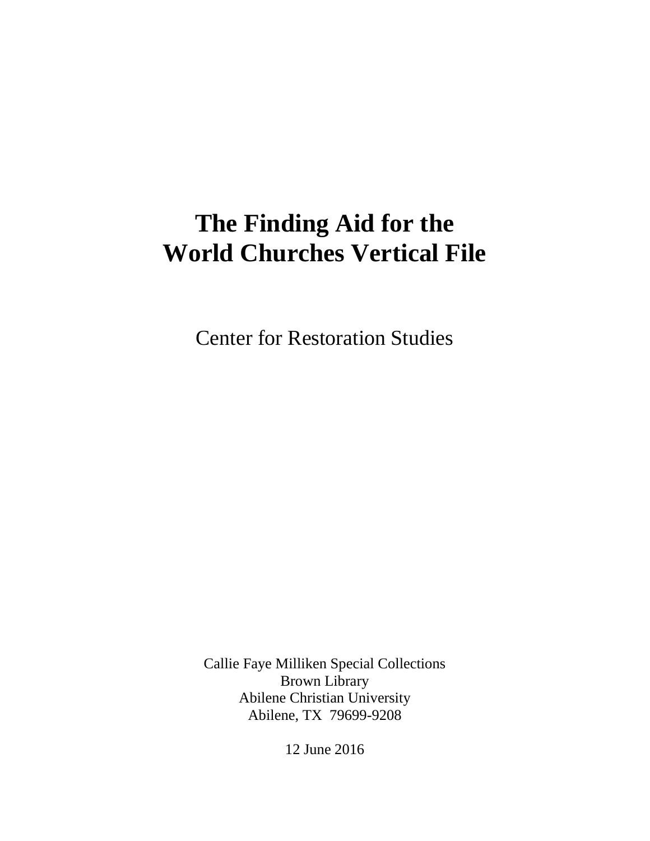# **The Finding Aid for the World Churches Vertical File**

Center for Restoration Studies

Callie Faye Milliken Special Collections Brown Library Abilene Christian University Abilene, TX 79699-9208

12 June 2016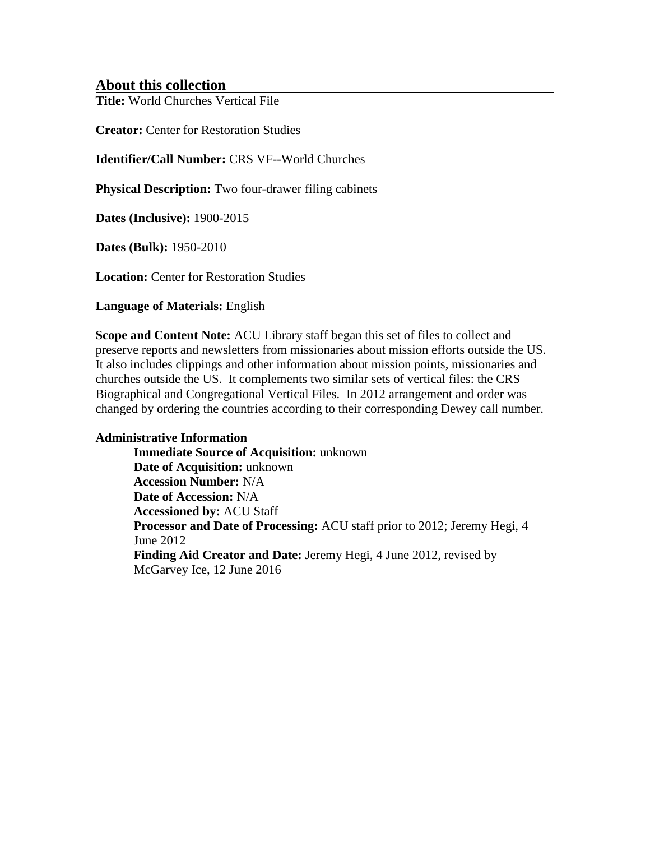# **About this collection**

**Title:** World Churches Vertical File

**Creator:** Center for Restoration Studies

**Identifier/Call Number:** CRS VF--World Churches

**Physical Description:** Two four-drawer filing cabinets

**Dates (Inclusive):** 1900-2015

**Dates (Bulk):** 1950-2010

**Location:** Center for Restoration Studies

**Language of Materials:** English

**Scope and Content Note:** ACU Library staff began this set of files to collect and preserve reports and newsletters from missionaries about mission efforts outside the US. It also includes clippings and other information about mission points, missionaries and churches outside the US. It complements two similar sets of vertical files: the CRS Biographical and Congregational Vertical Files. In 2012 arrangement and order was changed by ordering the countries according to their corresponding Dewey call number.

## **Administrative Information**

**Immediate Source of Acquisition:** unknown **Date of Acquisition:** unknown **Accession Number:** N/A **Date of Accession:** N/A **Accessioned by:** ACU Staff **Processor and Date of Processing:** ACU staff prior to 2012; Jeremy Hegi, 4 June 2012 **Finding Aid Creator and Date:** Jeremy Hegi, 4 June 2012, revised by McGarvey Ice, 12 June 2016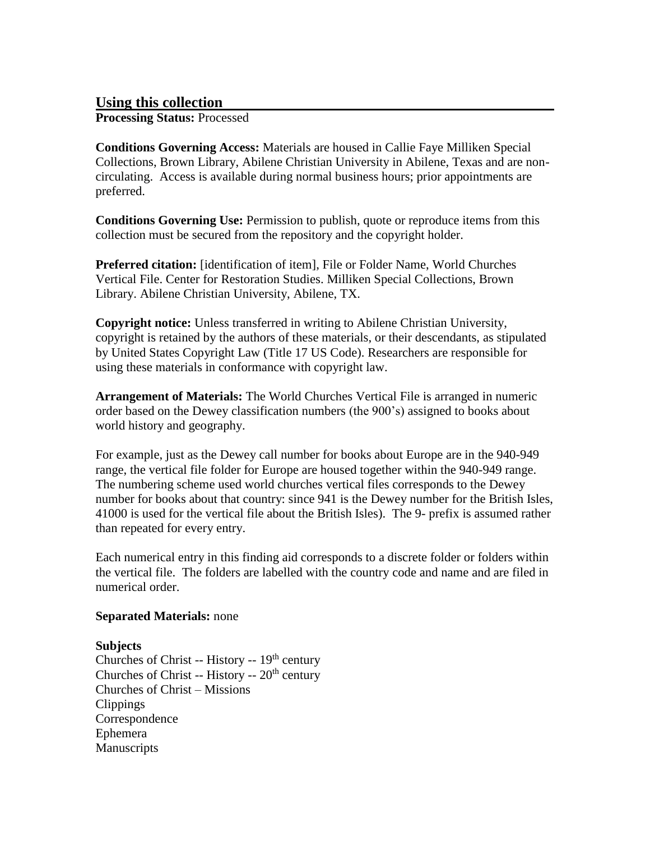# **Using this collection**

**Processing Status:** Processed

**Conditions Governing Access:** Materials are housed in Callie Faye Milliken Special Collections, Brown Library, Abilene Christian University in Abilene, Texas and are noncirculating. Access is available during normal business hours; prior appointments are preferred.

**Conditions Governing Use:** Permission to publish, quote or reproduce items from this collection must be secured from the repository and the copyright holder.

**Preferred citation:** [identification of item], File or Folder Name, World Churches Vertical File. Center for Restoration Studies. Milliken Special Collections, Brown Library. Abilene Christian University, Abilene, TX.

**Copyright notice:** Unless transferred in writing to Abilene Christian University, copyright is retained by the authors of these materials, or their descendants, as stipulated by United States Copyright Law (Title 17 US Code). Researchers are responsible for using these materials in conformance with copyright law.

**Arrangement of Materials:** The World Churches Vertical File is arranged in numeric order based on the Dewey classification numbers (the 900's) assigned to books about world history and geography.

For example, just as the Dewey call number for books about Europe are in the 940-949 range, the vertical file folder for Europe are housed together within the 940-949 range. The numbering scheme used world churches vertical files corresponds to the Dewey number for books about that country: since 941 is the Dewey number for the British Isles, 41000 is used for the vertical file about the British Isles). The 9- prefix is assumed rather than repeated for every entry.

Each numerical entry in this finding aid corresponds to a discrete folder or folders within the vertical file. The folders are labelled with the country code and name and are filed in numerical order.

## **Separated Materials:** none

## **Subjects**

Churches of Christ -- History --  $19<sup>th</sup>$  century Churches of Christ -- History --  $20<sup>th</sup>$  century Churches of Christ – Missions Clippings **Correspondence** Ephemera Manuscripts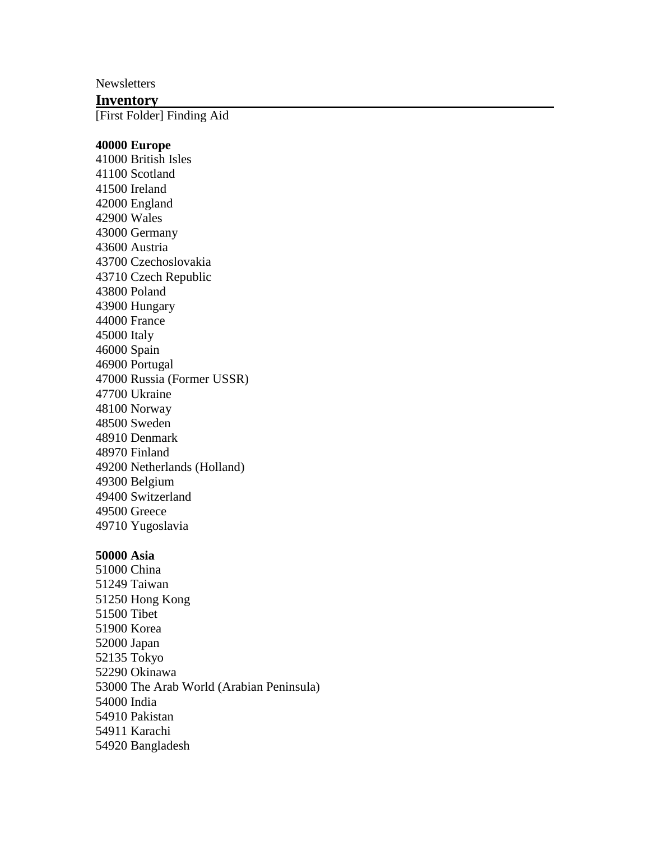**Newsletters** 

## **Inventory**

[First Folder] Finding Aid

#### **40000 Europe**

41000 British Isles 41100 Scotland 41500 Ireland 42000 England 42900 Wales 43000 Germany 43600 Austria 43700 Czechoslovakia 43710 Czech Republic 43800 Poland 43900 Hungary 44000 France 45000 Italy 46000 Spain 46900 Portugal 47000 Russia (Former USSR) 47700 Ukraine 48100 Norway 48500 Sweden 48910 Denmark 48970 Finland 49200 Netherlands (Holland) 49300 Belgium 49400 Switzerland 49500 Greece 49710 Yugoslavia

#### **50000 Asia**

51000 China 51249 Taiwan 51250 Hong Kong 51500 Tibet 51900 Korea 52000 Japan 52135 Tokyo 52290 Okinawa 53000 The Arab World (Arabian Peninsula) 54000 India 54910 Pakistan 54911 Karachi 54920 Bangladesh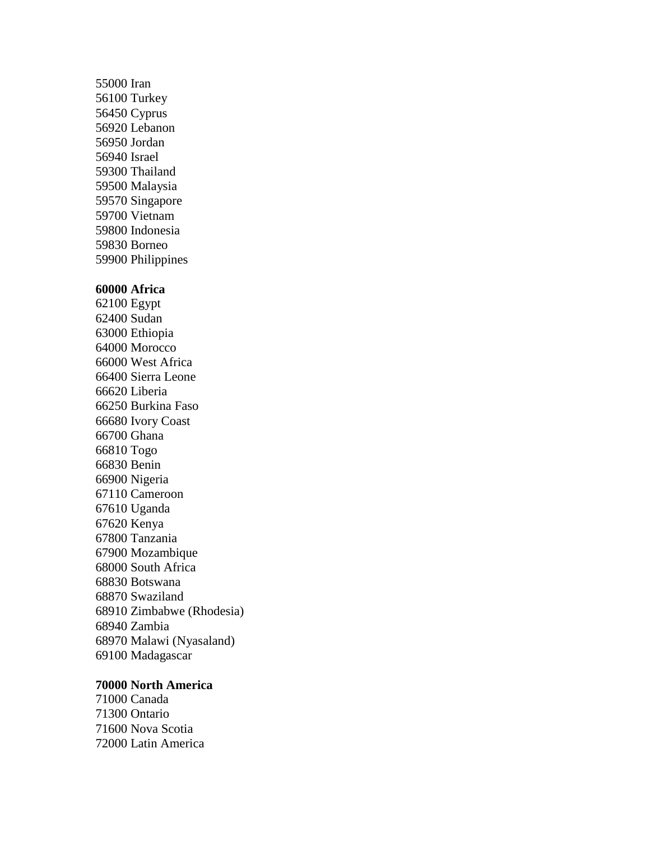55000 Iran 56100 Turkey 56450 Cyprus 56920 Lebanon 56950 Jordan 56940 Israel 59300 Thailand 59500 Malaysia 59570 Singapore 59700 Vietnam 59800 Indonesia 59830 Borneo 59900 Philippines

#### **60000 Africa**

62100 Egypt 62400 Sudan 63000 Ethiopia 64000 Morocco 66000 West Africa 66400 Sierra Leone 66620 Liberia 66250 Burkina Faso 66680 Ivory Coast 66700 Ghana 66810 Togo 66830 Benin 66900 Nigeria 67110 Cameroon 67610 Uganda 67620 Kenya 67800 Tanzania 67900 Mozambique 68000 South Africa 68830 Botswana 68870 Swaziland 68910 Zimbabwe (Rhodesia) 68940 Zambia 68970 Malawi (Nyasaland) 69100 Madagascar

#### **70000 North America**

71000 Canada 71300 Ontario 71600 Nova Scotia 72000 Latin America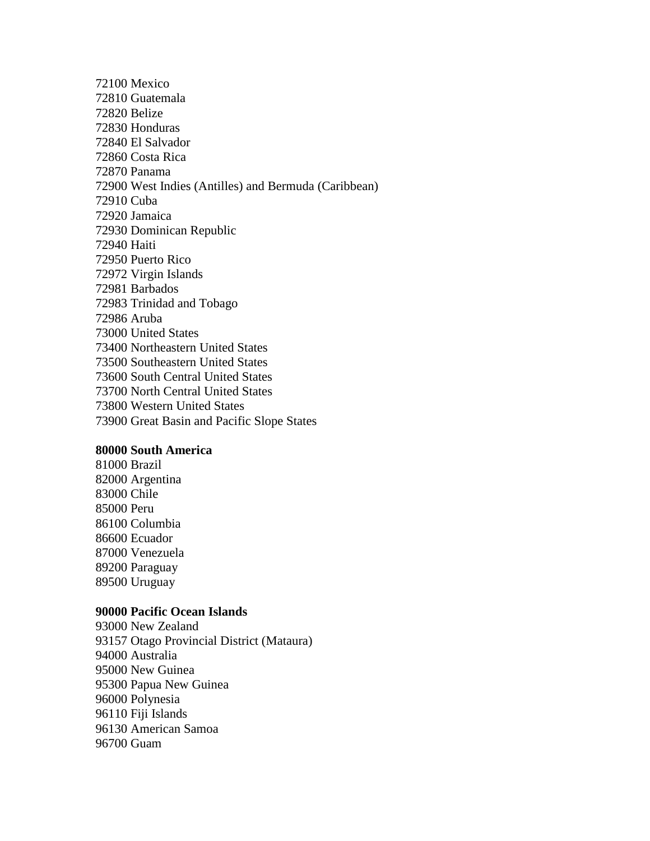72100 Mexico 72810 Guatemala 72820 Belize 72830 Honduras 72840 El Salvador 72860 Costa Rica 72870 Panama 72900 West Indies (Antilles) and Bermuda (Caribbean) 72910 Cuba 72920 Jamaica 72930 Dominican Republic 72940 Haiti 72950 Puerto Rico 72972 Virgin Islands 72981 Barbados 72983 Trinidad and Tobago 72986 Aruba 73000 United States 73400 Northeastern United States 73500 Southeastern United States 73600 South Central United States 73700 North Central United States 73800 Western United States 73900 Great Basin and Pacific Slope States

#### **80000 South America**

81000 Brazil 82000 Argentina 83000 Chile 85000 Peru 86100 Columbia 86600 Ecuador 87000 Venezuela 89200 Paraguay 89500 Uruguay

#### **90000 Pacific Ocean Islands**

93000 New Zealand 93157 Otago Provincial District (Mataura) 94000 Australia 95000 New Guinea 95300 Papua New Guinea 96000 Polynesia 96110 Fiji Islands 96130 American Samoa 96700 Guam